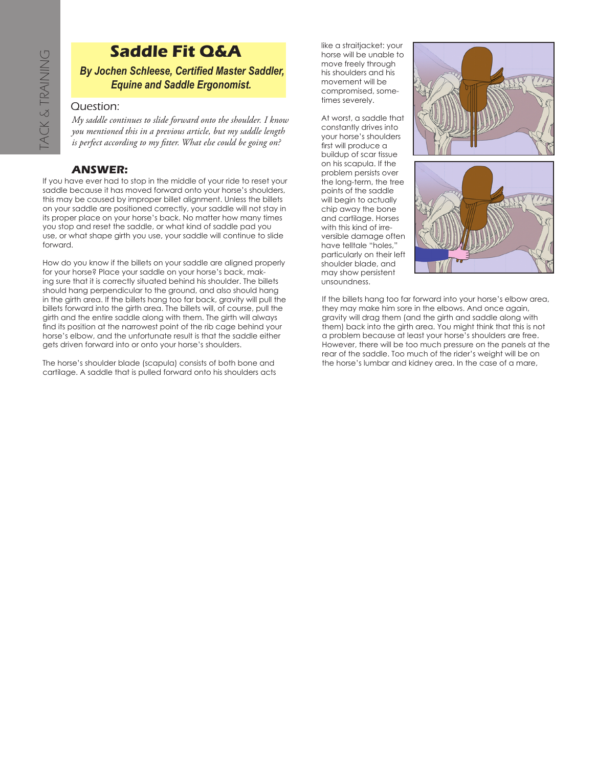## **Saddle Fit Q&A**

*By Jochen Schleese, Certified Master Saddler, Equine and Saddle Ergonomist.*

## Question:

*My saddle continues to slide forward onto the shoulder. I know you mentioned this in a previous article, but my saddle length is perfect according to my fitter. What else could be going on?*

## **ANSWER:**

If you have ever had to stop in the middle of your ride to reset your saddle because it has moved forward onto your horse's shoulders, this may be caused by improper billet alignment. Unless the billets on your saddle are positioned correctly, your saddle will not stay in its proper place on your horse's back. No matter how many times you stop and reset the saddle, or what kind of saddle pad you use, or what shape girth you use, your saddle will continue to slide forward.

How do you know if the billets on your saddle are aligned properly for your horse? Place your saddle on your horse's back, making sure that it is correctly situated behind his shoulder. The billets should hang perpendicular to the ground, and also should hang in the girth area. If the billets hang too far back, gravity will pull the billets forward into the girth area. The billets will, of course, pull the girth and the entire saddle along with them. The girth will always find its position at the narrowest point of the rib cage behind your horse's elbow, and the unfortunate result is that the saddle either gets driven forward into or onto your horse's shoulders. **Example 18 Saddle Ergonomist.**<br> **Cartified Master Saddle Ergonomist.**<br>  $\begin{array}{ll}\n\bullet \rightarrow \bullet \end{array}$  Cuestion:<br>
My saddle continues to slide forward onto the shoulder. I know mentioned this in a previous article, but my saddle l

The horse's shoulder blade (scapula) consists of both bone and

like a straitjacket: your horse will be unable to move freely through his shoulders and his movement will be compromised, sometimes severely.

At worst, a saddle that constantly drives into your horse's shoulders first will produce a buildup of scar tissue on his scapula. If the problem persists over the long-term, the tree points of the saddle will begin to actually chip away the bone and cartilage. Horses with this kind of irreversible damage often have telltale "holes," particularly on their left shoulder blade, and may show persistent unsoundness.





If the billets hang too far forward into your horse's elbow area, they may make him sore in the elbows. And once again, gravity will drag them (and the girth and saddle along with them) back into the girth area. You might think that this is not a problem because at least your horse's shoulders are free. However, there will be too much pressure on the panels at the rear of the saddle. Too much of the rider's weight will be on the horse's lumbar and kidney area. In the case of a mare,